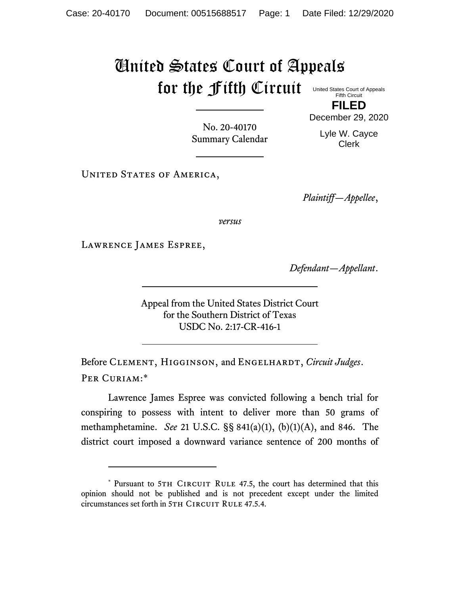## United States Court of Appeals for the Fifth Circuit United States Court of Appeals

Fifth Circuit **FILED**

No. 20-40170 Summary Calendar December 29, 2020 Lyle W. Cayce

Clerk

UNITED STATES OF AMERICA,

*Plaintiff—Appellee*,

*versus*

Lawrence James Espree,

*Defendant—Appellant*.

Appeal from the United States District Court for the Southern District of Texas USDC No. 2:17-CR-416-1

Before Clement, Higginson, and Engelhardt, *Circuit Judges*. Per Curiam:\*

Lawrence James Espree was convicted following a bench trial for conspiring to possess with intent to deliver more than 50 grams of methamphetamine. *See* 21 U.S.C. §§ 841(a)(1), (b)(1)(A), and 846. The district court imposed a downward variance sentence of 200 months of

<sup>\*</sup> Pursuant to 5TH CIRCUIT RULE 47.5, the court has determined that this opinion should not be published and is not precedent except under the limited circumstances set forth in 5TH CIRCUIT RULE 47.5.4.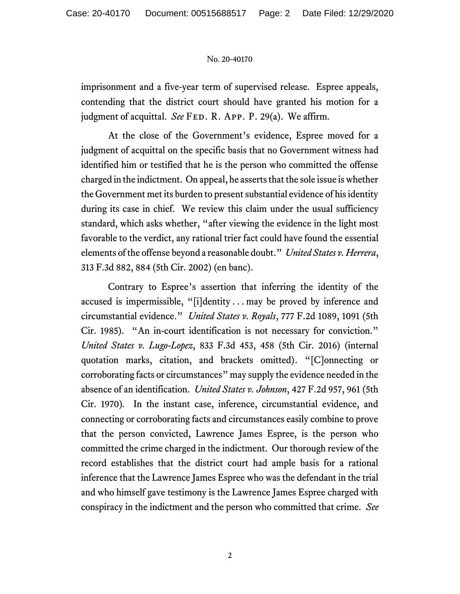## No. 20-40170

imprisonment and a five-year term of supervised release. Espree appeals, contending that the district court should have granted his motion for a judgment of acquittal. *See* FED. R. APP. P. 29(a). We affirm.

At the close of the Government's evidence, Espree moved for a judgment of acquittal on the specific basis that no Government witness had identified him or testified that he is the person who committed the offense charged in the indictment. On appeal, he asserts that the sole issue is whether the Government met its burden to present substantial evidence of his identity during its case in chief. We review this claim under the usual sufficiency standard, which asks whether, "after viewing the evidence in the light most favorable to the verdict, any rational trier fact could have found the essential elements of the offense beyond a reasonable doubt." *United States v. Herrera*, 313 F.3d 882, 884 (5th Cir. 2002) (en banc).

Contrary to Espree's assertion that inferring the identity of the accused is impermissible, "[i]dentity . . . may be proved by inference and circumstantial evidence." *United States v. Royals*, 777 F.2d 1089, 1091 (5th Cir. 1985). "An in-court identification is not necessary for conviction." *United States v. Lugo-Lopez*, 833 F.3d 453, 458 (5th Cir. 2016) (internal quotation marks, citation, and brackets omitted). "[C]onnecting or corroborating facts or circumstances" may supply the evidence needed in the absence of an identification. *United States v. Johnson*, 427 F.2d 957, 961 (5th Cir. 1970)*.* In the instant case, inference, circumstantial evidence, and connecting or corroborating facts and circumstances easily combine to prove that the person convicted, Lawrence James Espree, is the person who committed the crime charged in the indictment. Our thorough review of the record establishes that the district court had ample basis for a rational inference that the Lawrence James Espree who was the defendant in the trial and who himself gave testimony is the Lawrence James Espree charged with conspiracy in the indictment and the person who committed that crime. *See*